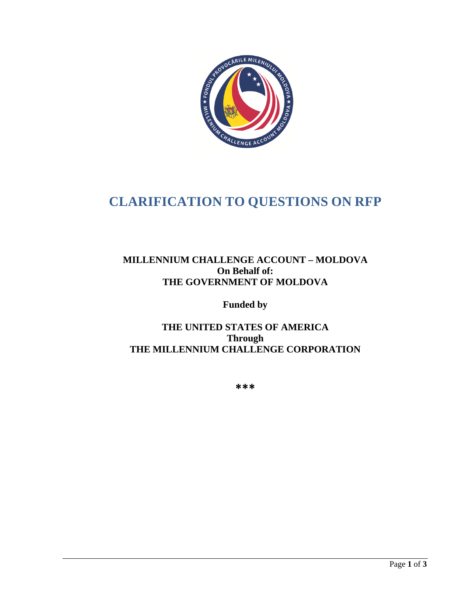

# **CLARIFICATION TO QUESTIONS ON RFP**

# **MILLENNIUM CHALLENGE ACCOUNT – MOLDOVA On Behalf of: THE GOVERNMENT OF MOLDOVA**

**Funded by** 

# **THE UNITED STATES OF AMERICA Through THE MILLENNIUM CHALLENGE CORPORATION**

**\*\*\***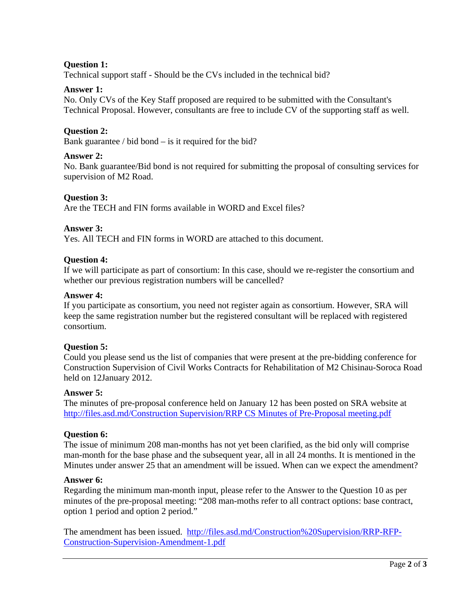# **Question 1:**

Technical support staff - Should be the CVs included in the technical bid?

# **Answer 1:**

No. Only CVs of the Key Staff proposed are required to be submitted with the Consultant's Technical Proposal. However, consultants are free to include CV of the supporting staff as well.

# **Question 2:**

Bank guarantee / bid bond  $-$  is it required for the bid?

# **Answer 2:**

No. Bank guarantee/Bid bond is not required for submitting the proposal of consulting services for supervision of M2 Road.

# **Question 3:**

Are the TECH and FIN forms available in WORD and Excel files?

# **Answer 3:**

Yes. All TECH and FIN forms in WORD are attached to this document.

# **Question 4:**

If we will participate as part of consortium: In this case, should we re-register the consortium and whether our previous registration numbers will be cancelled?

#### **Answer 4:**

If you participate as consortium, you need not register again as consortium. However, SRA will keep the same registration number but the registered consultant will be replaced with registered consortium.

#### **Question 5:**

Could you please send us the list of companies that were present at the pre-bidding conference for Construction Supervision of Civil Works Contracts for Rehabilitation of M2 Chisinau-Soroca Road held on 12January 2012.

#### **Answer 5:**

The minutes of pre-proposal conference held on January 12 has been posted on SRA website at [http://files.asd.md/Construction Supervision/RRP CS Minutes of Pre-Proposal meeting.pdf](http://files.asd.md/Construction%20Supervision/RRP%20CS%20Minutes%20of%20Pre-Proposal%20meeting.pdf)

# **Question 6:**

The issue of minimum 208 man-months has not yet been clarified, as the bid only will comprise man-month for the base phase and the subsequent year, all in all 24 months. It is mentioned in the Minutes under answer 25 that an amendment will be issued. When can we expect the amendment?

#### **Answer 6:**

Regarding the minimum man-month input, please refer to the Answer to the Question 10 as per minutes of the pre-proposal meeting: "208 man-moths refer to all contract options: base contract, option 1 period and option 2 period."

The amendment has been issued. [http://files.asd.md/Construction%20Supervision/RRP-RFP-](http://files.asd.md/Construction%20Supervision/RRP-RFP-Construction-Supervision-Amendment-1.pdf)[Construction-Supervision-Amendment-1.pdf](http://files.asd.md/Construction%20Supervision/RRP-RFP-Construction-Supervision-Amendment-1.pdf)